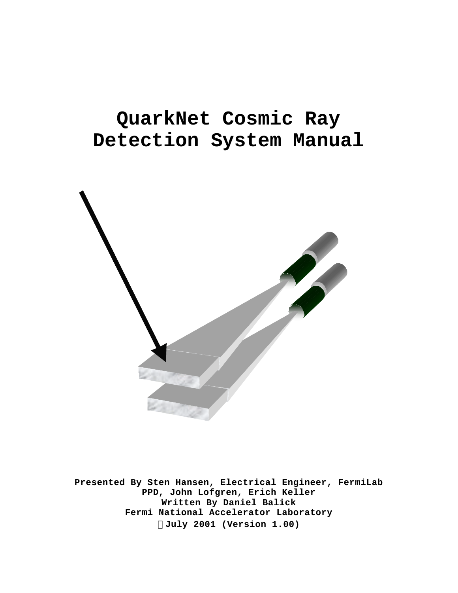# **QuarkNet Cosmic Ray Detection System Manual**



**Presented By Sten Hansen, Electrical Engineer, FermiLab PPD, John Lofgren, Erich Keller Written By Daniel Balick Fermi National Accelerator Laboratory ÓJuly 2001 (Version 1.00)**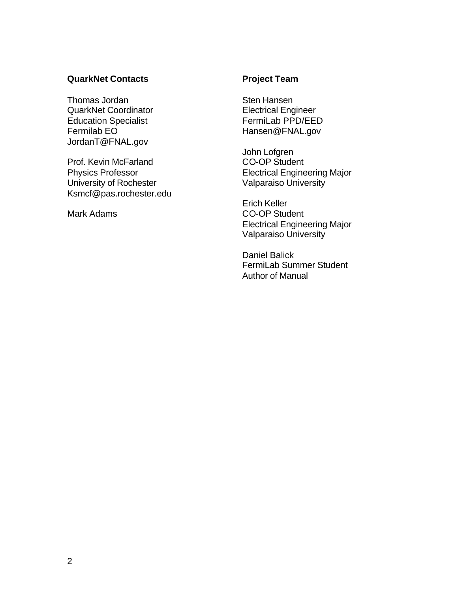#### **QuarkNet Contacts**

Thomas Jordan QuarkNet Coordinator Education Specialist Fermilab EO JordanT@FNAL.gov

Prof. Kevin McFarland Physics Professor University of Rochester Ksmcf@pas.rochester.edu

Mark Adams

#### **Project Team**

Sten Hansen Electrical Engineer FermiLab PPD/EED Hansen@FNAL.gov

John Lofgren CO-OP Student Electrical Engineering Major Valparaiso University

Erich Keller CO-OP Student Electrical Engineering Major Valparaiso University

Daniel Balick FermiLab Summer Student Author of Manual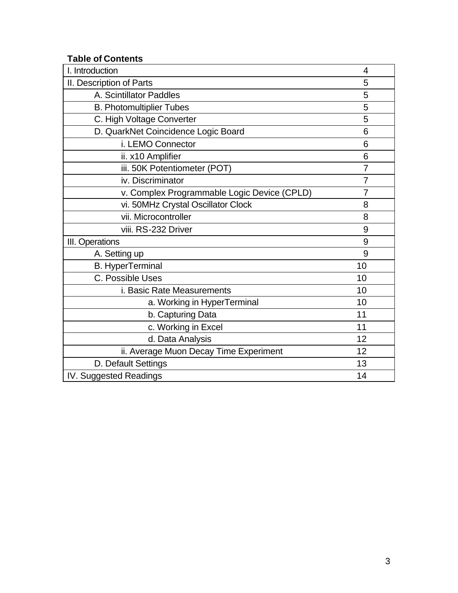## **Table of Contents**

| I. Introduction                             | 4              |
|---------------------------------------------|----------------|
| II. Description of Parts                    | 5              |
| A. Scintillator Paddles                     | 5              |
| <b>B. Photomultiplier Tubes</b>             | 5              |
| C. High Voltage Converter                   | 5              |
| D. QuarkNet Coincidence Logic Board         | 6              |
| i. LEMO Connector                           | 6              |
| ii. x10 Amplifier                           | 6              |
| iii. 50K Potentiometer (POT)                | $\overline{7}$ |
| iv. Discriminator                           | 7              |
| v. Complex Programmable Logic Device (CPLD) | $\overline{7}$ |
| vi. 50MHz Crystal Oscillator Clock          | 8              |
| vii. Microcontroller                        | 8              |
| viii. RS-232 Driver                         | 9              |
| III. Operations                             | 9              |
| A. Setting up                               | 9              |
| <b>B.</b> HyperTerminal                     | 10             |
| C. Possible Uses                            | 10             |
| i. Basic Rate Measurements                  | 10             |
| a. Working in HyperTerminal                 | 10             |
| b. Capturing Data                           | 11             |
| c. Working in Excel                         | 11             |
| d. Data Analysis                            | 12             |
| ii. Average Muon Decay Time Experiment      | 12             |
| D. Default Settings                         | 13             |
| IV. Suggested Readings                      | 14             |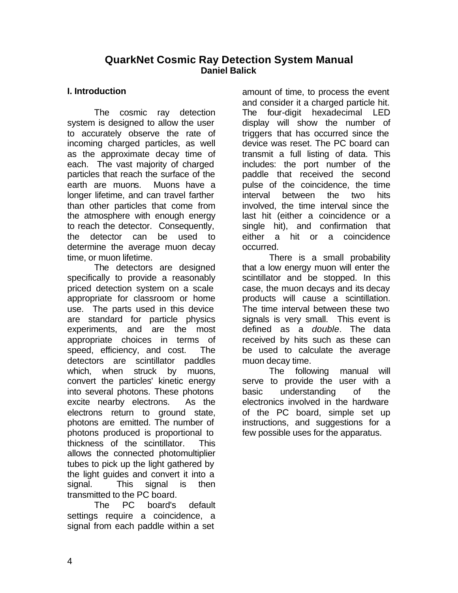## **QuarkNet Cosmic Ray Detection System Manual Daniel Balick**

#### **I. Introduction**

The cosmic ray detection system is designed to allow the user to accurately observe the rate of incoming charged particles, as well as the approximate decay time of each. The vast majority of charged particles that reach the surface of the earth are muons. Muons have a longer lifetime, and can travel farther than other particles that come from the atmosphere with enough energy to reach the detector. Consequently, the detector can be used to determine the average muon decay time, or muon lifetime.

The detectors are designed specifically to provide a reasonably priced detection system on a scale appropriate for classroom or home use. The parts used in this device are standard for particle physics experiments, and are the most appropriate choices in terms of speed, efficiency, and cost. The detectors are scintillator paddles which, when struck by muons, convert the particles' kinetic energy into several photons. These photons excite nearby electrons. As the electrons return to ground state, photons are emitted. The number of photons produced is proportional to thickness of the scintillator. This allows the connected photomultiplier tubes to pick up the light gathered by the light guides and convert it into a signal. This signal is then transmitted to the PC board.

The PC board's default settings require a coincidence, a signal from each paddle within a set

amount of time, to process the event and consider it a charged particle hit. The four-digit hexadecimal LED display will show the number of triggers that has occurred since the device was reset. The PC board can transmit a full listing of data. This includes: the port number of the paddle that received the second pulse of the coincidence, the time interval between the two hits involved, the time interval since the last hit (either a coincidence or a single hit), and confirmation that either a hit or a coincidence occurred.

There is a small probability that a low energy muon will enter the scintillator and be stopped. In this case, the muon decays and its decay products will cause a scintillation. The time interval between these two signals is very small. This event is defined as a *double*. The data received by hits such as these can be used to calculate the average muon decay time.

The following manual will serve to provide the user with a basic understanding of the electronics involved in the hardware of the PC board, simple set up instructions, and suggestions for a few possible uses for the apparatus.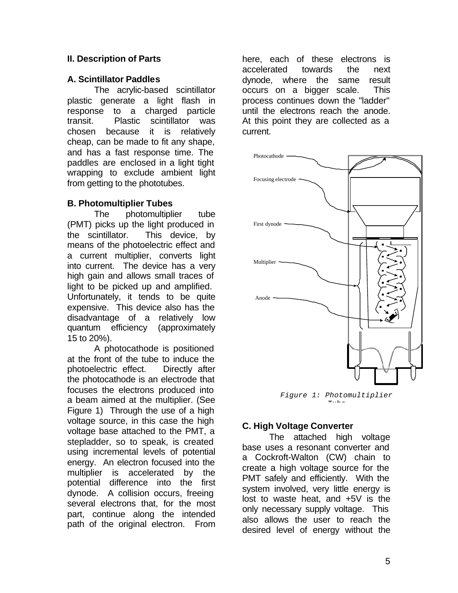### **II. Description of Parts**

#### **A. Scintillator Paddles**

The acrylic-based scintillator plastic generate a light flash in response to a charged particle transit. Plastic scintillator was chosen because it is relatively cheap, can be made to fit any shape, and has a fast response time. The paddles are enclosed in a light tight wrapping to exclude ambient light from getting to the phototubes.

#### **B. Photomultiplier Tubes**

The photomultiplier tube (PMT) picks up the light produced in the scintillator. This device, by means of the photoelectric effect and a current multiplier, converts light into current. The device has a very high gain and allows small traces of light to be picked up and amplified. Unfortunately, it tends to be quite expensive. This device also has the disadvantage of a relatively low quantum efficiency (approximately 15 to 20%).

A photocathode is positioned at the front of the tube to induce the photoelectric effect. Directly after the photocathode is an electrode that focuses the electrons produced into a beam aimed at the multiplier. (See Figure 1) Through the use of a high voltage source, in this case the high voltage base attached to the PMT, a stepladder, so to speak, is created using incremental levels of potential energy. An electron focused into the multiplier is accelerated by the potential difference into the first dynode. A collision occurs, freeing several electrons that, for the most part, continue along the intended path of the original electron. From here, each of these electrons is accelerated towards the next dynode, where the same result occurs on a bigger scale. This process continues down the "ladder" until the electrons reach the anode. At this point they are collected as a current.



*Figure 1: Photomultiplier Tube* 

#### **C. High Voltage Converter**

The attached high voltage base uses a resonant converter and a Cockroft-Walton (CW) chain to create a high voltage source for the PMT safely and efficiently. With the system involved, very little energy is lost to waste heat, and +5V is the only necessary supply voltage. This also allows the user to reach the desired level of energy without the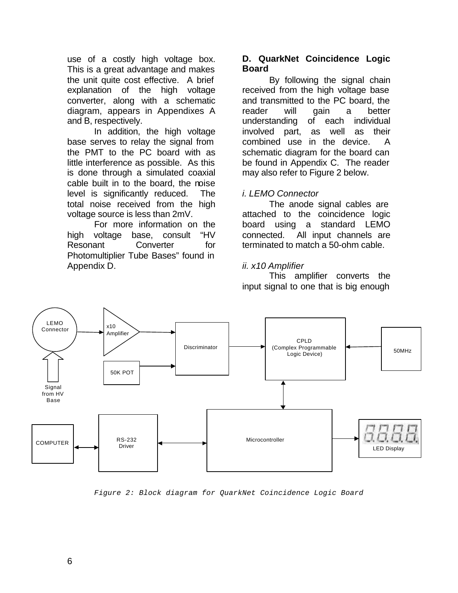use of a costly high voltage box. This is a great advantage and makes the unit quite cost effective. A brief explanation of the high voltage converter, along with a schematic diagram, appears in Appendixes A and B, respectively.

In addition, the high voltage base serves to relay the signal from the PMT to the PC board with as little interference as possible. As this is done through a simulated coaxial cable built in to the board, the noise level is significantly reduced. The total noise received from the high voltage source is less than 2mV.

For more information on the high voltage base, consult "HV Resonant Converter for Photomultiplier Tube Bases" found in Appendix D.

#### **D. QuarkNet Coincidence Logic Board**

By following the signal chain received from the high voltage base and transmitted to the PC board, the reader will gain a better understanding of each individual involved part, as well as their combined use in the device. A schematic diagram for the board can be found in Appendix C. The reader may also refer to Figure 2 below.

### *i. LEMO Connector*

The anode signal cables are attached to the coincidence logic board using a standard LEMO connected. All input channels are terminated to match a 50-ohm cable.

## *ii. x10 Amplifier*

This amplifier converts the input signal to one that is big enough



*Figure 2: Block diagram for QuarkNet Coincidence Logic Board*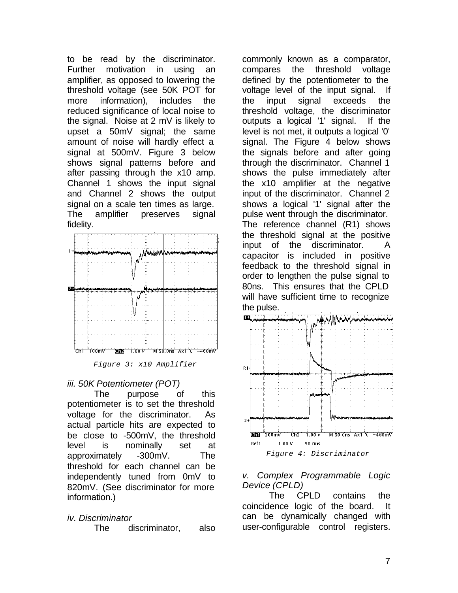to be read by the discriminator. Further motivation in using an amplifier, as opposed to lowering the threshold voltage (see 50K POT for more information), includes the reduced significance of local noise to the signal. Noise at 2 mV is likely to upset a 50mV signal; the same amount of noise will hardly effect a signal at 500mV. Figure 3 below shows signal patterns before and after passing through the x10 amp. Channel 1 shows the input signal and Channel 2 shows the output signal on a scale ten times as large. The amplifier preserves signal fidelity.



*Figure 3: x10 Amplifier* 

#### *iii. 50K Potentiometer (POT)*

The purpose of this potentiometer is to set the threshold voltage for the discriminator. As actual particle hits are expected to be close to -500mV, the threshold level is nominally set at approximately -300mV. The threshold for each channel can be independently tuned from 0mV to 820mV. (See discriminator for more information.)

### *iv. Discriminator*

The discriminator, also

commonly known as a comparator, compares the threshold voltage defined by the potentiometer to the voltage level of the input signal. If the input signal exceeds the threshold voltage, the discriminator outputs a logical '1' signal. If the level is not met, it outputs a logical '0' signal. The Figure 4 below shows the signals before and after going through the discriminator. Channel 1 shows the pulse immediately after the x10 amplifier at the negative input of the discriminator. Channel 2 shows a logical '1' signal after the pulse went through the discriminator. The reference channel (R1) shows the threshold signal at the positive input of the discriminator. A capacitor is included in positive feedback to the threshold signal in order to lengthen the pulse signal to 80ns. This ensures that the CPLD will have sufficient time to recognize the pulse.





### *v. Complex Programmable Logic Device (CPLD)*

The CPLD contains the coincidence logic of the board. It can be dynamically changed with user-configurable control registers.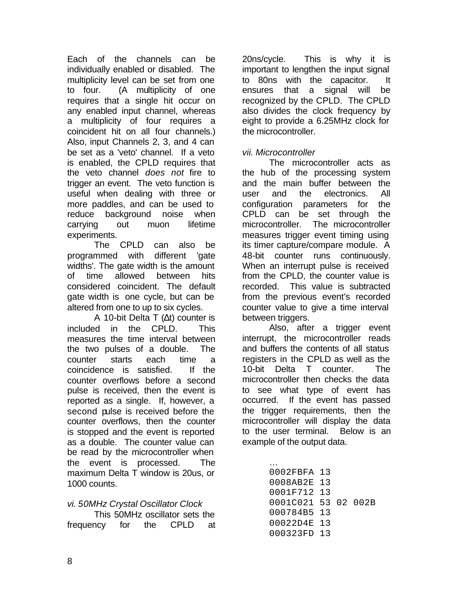Each of the channels can be individually enabled or disabled. The multiplicity level can be set from one to four. (A multiplicity of one requires that a single hit occur on any enabled input channel, whereas a multiplicity of four requires a coincident hit on all four channels.) Also, input Channels 2, 3, and 4 can be set as a 'veto' channel. If a veto is enabled, the CPLD requires that the veto channel *does not* fire to trigger an event. The veto function is useful when dealing with three or more paddles, and can be used to reduce background noise when carrying out muon lifetime experiments.

The CPLD can also be programmed with different 'gate widths'. The gate width is the amount of time allowed between hits considered coincident. The default gate width is one cycle, but can be altered from one to up to six cycles.

A 10-bit Delta T (Δt) counter is included in the CPLD. This measures the time interval between the two pulses of a double. The counter starts each time a coincidence is satisfied. If the counter overflows before a second pulse is received, then the event is reported as a single. If, however, a second pulse is received before the counter overflows, then the counter is stopped and the event is reported as a double. The counter value can be read by the microcontroller when the event is processed. The maximum Delta T window is 20us, or 1000 counts.

### *vi. 50MHz Crystal Oscillator Clock*

This 50MHz oscillator sets the frequency for the CPLD at 20ns/cycle. This is why it is important to lengthen the input signal to 80ns with the capacitor. It ensures that a signal will be recognized by the CPLD. The CPLD also divides the clock frequency by eight to provide a 6.25MHz clock for the microcontroller.

### *vii. Microcontroller*

The microcontroller acts as the hub of the processing system and the main buffer between the user and the electronics. All configuration parameters for the CPLD can be set through the microcontroller. The microcontroller measures trigger event timing using its timer capture/compare module. A 48-bit counter runs continuously. When an interrupt pulse is received from the CPLD, the counter value is recorded. This value is subtracted from the previous event's recorded counter value to give a time interval between triggers.

Also, after a trigger event interrupt, the microcontroller reads and buffers the contents of all status registers in the CPLD as well as the 10-bit Delta T counter. The microcontroller then checks the data to see what type of event has occurred. If the event has passed the trigger requirements, then the microcontroller will display the data to the user terminal. Below is an example of the output data.

| 0002FBFA 13         |  |  |
|---------------------|--|--|
| 0008AB2E 13         |  |  |
| 0001F712 13         |  |  |
| 0001C021 53 02 002B |  |  |
| 000784B5 13         |  |  |
| 00022D4E 13         |  |  |
| 000323FD 13         |  |  |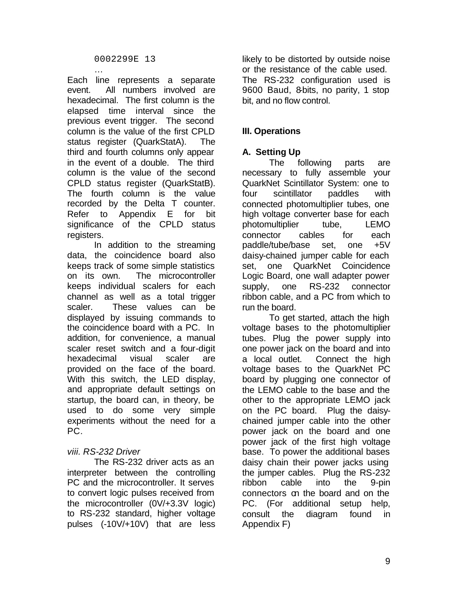… Each line represents a separate event. All numbers involved are hexadecimal. The first column is the elapsed time interval since the previous event trigger. The second column is the value of the first CPLD status register (QuarkStatA). The third and fourth columns only appear in the event of a double. The third column is the value of the second CPLD status register (QuarkStatB). The fourth column is the value recorded by the Delta T counter. Refer to Appendix E for bit significance of the CPLD status registers.

In addition to the streaming data, the coincidence board also keeps track of some simple statistics on its own. The microcontroller keeps individual scalers for each channel as well as a total trigger scaler. These values can be displayed by issuing commands to the coincidence board with a PC. In addition, for convenience, a manual scaler reset switch and a four-digit hexadecimal visual scaler are provided on the face of the board. With this switch, the LED display, and appropriate default settings on startup, the board can, in theory, be used to do some very simple experiments without the need for a PC.

## *viii. RS-232 Driver*

The RS-232 driver acts as an interpreter between the controlling PC and the microcontroller. It serves to convert logic pulses received from the microcontroller (0V/+3.3V logic) to RS-232 standard, higher voltage pulses (-10V/+10V) that are less

likely to be distorted by outside noise or the resistance of the cable used. The RS-232 configuration used is 9600 Baud, 8-bits, no parity, 1 stop bit, and no flow control.

# **III. Operations**

## **A. Setting Up**

The following parts are necessary to fully assemble your QuarkNet Scintillator System: one to four scintillator paddles with connected photomultiplier tubes, one high voltage converter base for each photomultiplier tube, LEMO connector cables for each paddle/tube/base set, one +5V daisy-chained jumper cable for each set, one QuarkNet Coincidence Logic Board, one wall adapter power supply, one RS-232 connector ribbon cable, and a PC from which to run the board.

To get started, attach the high voltage bases to the photomultiplier tubes. Plug the power supply into one power jack on the board and into a local outlet. Connect the high voltage bases to the QuarkNet PC board by plugging one connector of the LEMO cable to the base and the other to the appropriate LEMO jack on the PC board. Plug the daisychained jumper cable into the other power jack on the board and one power jack of the first high voltage base. To power the additional bases daisy chain their power jacks using the jumper cables. Plug the RS-232 ribbon cable into the 9-pin connectors on the board and on the PC. (For additional setup help, consult the diagram found in Appendix F)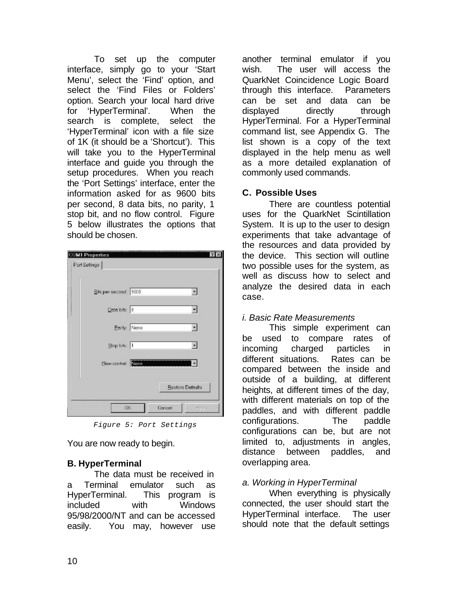To set up the computer interface, simply go to your 'Start Menu', select the 'Find' option, and select the 'Find Files or Folders' option. Search your local hard drive for 'HyperTerminal'. When the search is complete, select the 'HyperTerminal' icon with a file size of 1K (it should be a 'Shortcut'). This will take you to the HyperTerminal interface and guide you through the setup procedures. When you reach the 'Port Settings' interface, enter the information asked for as 9600 bits per second, 8 data bits, no parity, 1 stop bit, and no flow control. Figure 5 below illustrates the options that should be chosen.

| <b>Restore Defeults</b> |
|-------------------------|
|                         |

*Figure 5: Port Settings*

You are now ready to begin.

## **B. HyperTerminal**

The data must be received in a Terminal emulator such as HyperTerminal. This program is included with Windows 95/98/2000/NT and can be accessed easily. You may, however use

another terminal emulator if you wish. The user will access the QuarkNet Coincidence Logic Board through this interface. Parameters can be set and data can be displayed directly through HyperTerminal. For a HyperTerminal command list, see Appendix G. The list shown is a copy of the text displayed in the help menu as well as a more detailed explanation of commonly used commands.

## **C. Possible Uses**

There are countless potential uses for the QuarkNet Scintillation System. It is up to the user to design experiments that take advantage of the resources and data provided by the device. This section will outline two possible uses for the system, as well as discuss how to select and analyze the desired data in each case.

## *i. Basic Rate Measurements*

This simple experiment can be used to compare rates of incoming charged particles in different situations. Rates can be compared between the inside and outside of a building, at different heights, at different times of the day, with different materials on top of the paddles, and with different paddle configurations. The paddle configurations can be, but are not limited to, adjustments in angles, distance between paddles, and overlapping area.

### *a. Working in HyperTerminal*

When everything is physically connected, the user should start the HyperTerminal interface. The user should note that the default settings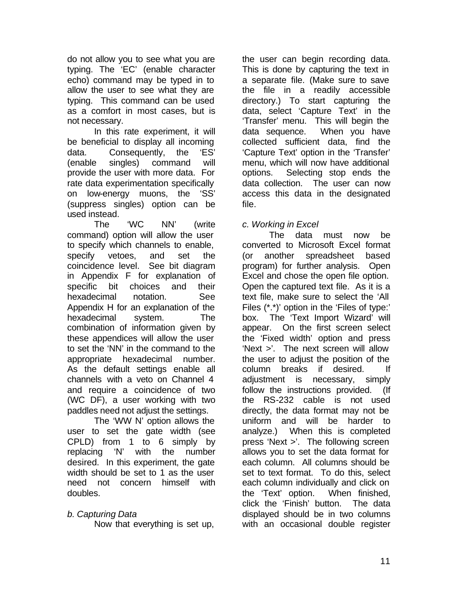do not allow you to see what you are typing. The 'EC' (enable character echo) command may be typed in to allow the user to see what they are typing. This command can be used as a comfort in most cases, but is not necessary.

In this rate experiment, it will be beneficial to display all incoming data. Consequently, the 'ES' (enable singles) command will provide the user with more data. For rate data experimentation specifically on low-energy muons, the 'SS' (suppress singles) option can be used instead.

The 'WC NN' (write command) option will allow the user to specify which channels to enable, specify vetoes, and set the coincidence level. See bit diagram in Appendix F for explanation of specific bit choices and their hexadecimal notation. See Appendix H for an explanation of the hexadecimal system. The combination of information given by these appendices will allow the user to set the 'NN' in the command to the appropriate hexadecimal number. As the default settings enable all channels with a veto on Channel 4 and require a coincidence of two (WC DF), a user working with two paddles need not adjust the settings.

The 'WW N' option allows the user to set the gate width (see CPLD) from 1 to 6 simply by replacing 'N' with the number desired. In this experiment, the gate width should be set to 1 as the user need not concern himself with doubles.

## *b. Capturing Data*

Now that everything is set up,

the user can begin recording data. This is done by capturing the text in a separate file. (Make sure to save the file in a readily accessible directory.) To start capturing the data, select 'Capture Text' in the 'Transfer' menu. This will begin the data sequence. When you have collected sufficient data, find the 'Capture Text' option in the 'Transfer' menu, which will now have additional options. Selecting stop ends the data collection. The user can now access this data in the designated file.

## *c. Working in Excel*

The data must now be converted to Microsoft Excel format (or another spreadsheet based program) for further analysis. Open Excel and chose the open file option. Open the captured text file. As it is a text file, make sure to select the 'All Files (\*.\*)' option in the 'Files of type:' box. The 'Text Import Wizard' will appear. On the first screen select the 'Fixed width' option and press 'Next >'. The next screen will allow the user to adjust the position of the column breaks if desired. If adjustment is necessary, simply follow the instructions provided. (If the RS-232 cable is not used directly, the data format may not be uniform and will be harder to analyze.) When this is completed press 'Next >'. The following screen allows you to set the data format for each column. All columns should be set to text format. To do this, select each column individually and click on the 'Text' option. When finished, click the 'Finish' button. The data displayed should be in two columns with an occasional double register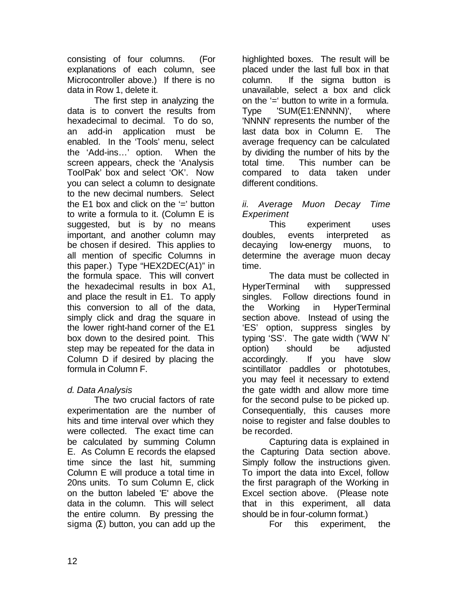consisting of four columns. (For explanations of each column, see Microcontroller above.) If there is no data in Row 1, delete it.

The first step in analyzing the data is to convert the results from hexadecimal to decimal. To do so, an add-in application must be enabled. In the 'Tools' menu, select the 'Add-ins…' option. When the screen appears, check the 'Analysis ToolPak' box and select 'OK'. Now you can select a column to designate to the new decimal numbers. Select the  $E1$  box and click on the  $=$  button to write a formula to it. (Column E is suggested, but is by no means important, and another column may be chosen if desired. This applies to all mention of specific Columns in this paper.) Type "HEX2DEC(A1)" in the formula space. This will convert the hexadecimal results in box A1, and place the result in E1. To apply this conversion to all of the data, simply click and drag the square in the lower right-hand corner of the E1 box down to the desired point. This step may be repeated for the data in Column D if desired by placing the formula in Column F.

## *d. Data Analysis*

The two crucial factors of rate experimentation are the number of hits and time interval over which they were collected. The exact time can be calculated by summing Column E. As Column E records the elapsed time since the last hit, summing Column E will produce a total time in 20ns units. To sum Column E, click on the button labeled 'E' above the data in the column. This will select the entire column. By pressing the sigma  $(\Sigma)$  button, you can add up the

highlighted boxes. The result will be placed under the last full box in that column. If the sigma button is unavailable, select a box and click on the '=' button to write in a formula. Type 'SUM(E1:ENNNN)', where 'NNNN' represents the number of the last data box in Column E. The average frequency can be calculated by dividing the number of hits by the total time. This number can be compared to data taken under different conditions.

### *ii. Average Muon Decay Time Experiment*

This experiment uses doubles, events interpreted as decaying low-energy muons, to determine the average muon decay time.

The data must be collected in HyperTerminal with suppressed singles. Follow directions found in the Working in HyperTerminal section above. Instead of using the 'ES' option, suppress singles by typing 'SS'. The gate width ('WW N' option) should be adjusted accordingly. If you have slow scintillator paddles or phototubes, you may feel it necessary to extend the gate width and allow more time for the second pulse to be picked up. Consequentially, this causes more noise to register and false doubles to be recorded.

Capturing data is explained in the Capturing Data section above. Simply follow the instructions given. To import the data into Excel, follow the first paragraph of the Working in Excel section above. (Please note that in this experiment, all data should be in four-column format.)

For this experiment, the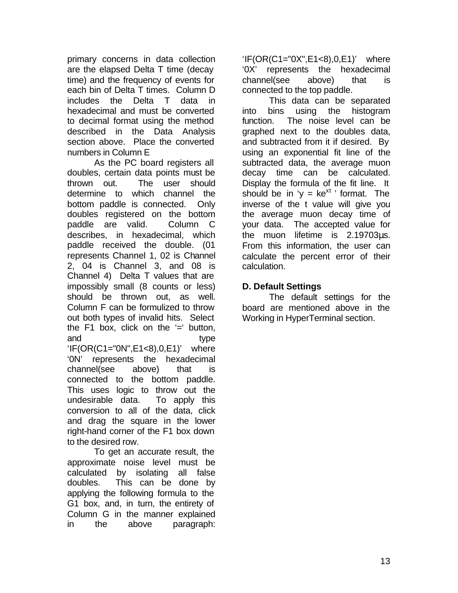primary concerns in data collection are the elapsed Delta T time (decay time) and the frequency of events for each bin of Delta T times. Column D includes the Delta T data in hexadecimal and must be converted to decimal format using the method described in the Data Analysis section above. Place the converted numbers in Column E

As the PC board registers all doubles, certain data points must be thrown out. The user should determine to which channel the bottom paddle is connected. Only doubles registered on the bottom paddle are valid. Column C describes, in hexadecimal, which paddle received the double. (01 represents Channel 1, 02 is Channel 2, 04 is Channel 3, and 08 is Channel 4) Delta T values that are impossibly small (8 counts or less) should be thrown out, as well. Column F can be formulized to throw out both types of invalid hits. Select the F1 box, click on the  $=$  button, and type 'IF(OR(C1="0N",E1<8),0,E1)' where '0N' represents the hexadecimal channel(see above) that is connected to the bottom paddle. This uses logic to throw out the undesirable data. To apply this conversion to all of the data, click and drag the square in the lower right-hand corner of the F1 box down to the desired row.

To get an accurate result, the approximate noise level must be calculated by isolating all false doubles. This can be done by applying the following formula to the G1 box, and, in turn, the entirety of Column G in the manner explained in the above paragraph:

'IF(OR(C1="0X",E1<8),0,E1)' where '0X' represents the hexadecimal channel(see above) that is connected to the top paddle.

This data can be separated into bins using the histogram function. The noise level can be graphed next to the doubles data, and subtracted from it if desired. By using an exponential fit line of the subtracted data, the average muon decay time can be calculated. Display the formula of the fit line. It should be in 'y =  $ke^{xt}$ ' format. The inverse of the t value will give you the average muon decay time of your data. The accepted value for the muon lifetime is 2.19703μs. From this information, the user can calculate the percent error of their calculation.

### **D. Default Settings**

The default settings for the board are mentioned above in the Working in HyperTerminal section.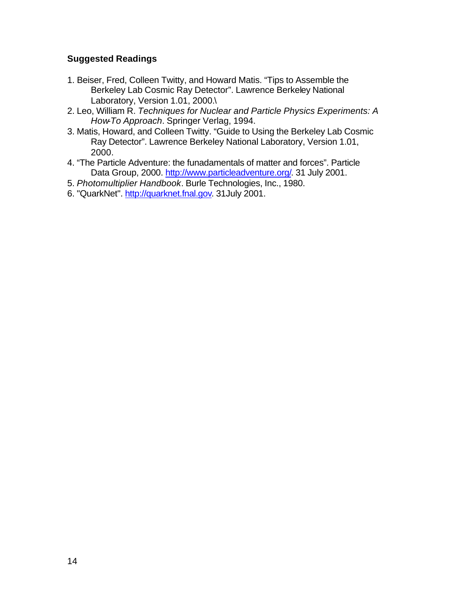### **Suggested Readings**

- 1. Beiser, Fred, Colleen Twitty, and Howard Matis. "Tips to Assemble the Berkeley Lab Cosmic Ray Detector". Lawrence Berkeley National Laboratory, Version 1.01, 2000.\
- 2. Leo, William R. *Techniques for Nuclear and Particle Physics Experiments: A How-To Approach*. Springer Verlag, 1994.
- 3. Matis, Howard, and Colleen Twitty. "Guide to Using the Berkeley Lab Cosmic Ray Detector". Lawrence Berkeley National Laboratory, Version 1.01, 2000.
- 4. "The Particle Adventure: the funadamentals of matter and forces". Particle Data Group, 2000. http://www.particleadventure.org/. 31 July 2001.
- 5. *Photomultiplier Handbook*. Burle Technologies, Inc., 1980.
- 6. "QuarkNet". http://quarknet.fnal.gov. 31July 2001.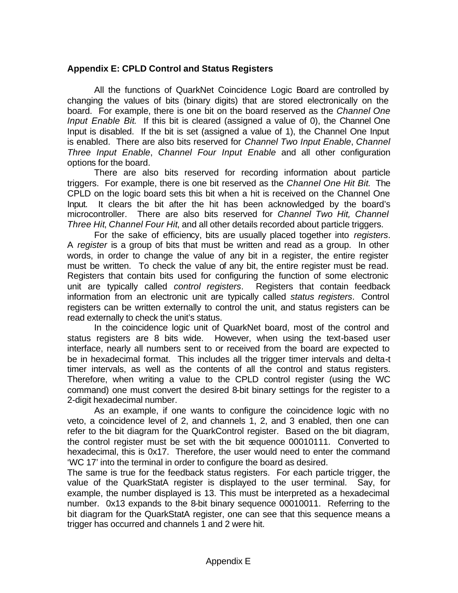#### **Appendix E: CPLD Control and Status Registers**

All the functions of QuarkNet Coincidence Logic Board are controlled by changing the values of bits (binary digits) that are stored electronically on the board. For example, there is one bit on the board reserved as the *Channel One Input Enable Bit*. If this bit is cleared (assigned a value of 0), the Channel One Input is disabled. If the bit is set (assigned a value of 1), the Channel One Input is enabled. There are also bits reserved for *Channel Two Input Enable*, *Channel Three Input Enable*, *Channel Four Input Enable* and all other configuration options for the board.

There are also bits reserved for recording information about particle triggers. For example, there is one bit reserved as the *Channel One Hit Bit*. The CPLD on the logic board sets this bit when a hit is received on the Channel One Input. It clears the bit after the hit has been acknowledged by the board's microcontroller. There are also bits reserved for *Channel Two Hit, Channel Three Hit*, *Channel Four Hit*, and all other details recorded about particle triggers.

For the sake of efficiency, bits are usually placed together into *registers*. A *register* is a group of bits that must be written and read as a group. In other words, in order to change the value of any bit in a register, the entire register must be written. To check the value of any bit, the entire register must be read. Registers that contain bits used for configuring the function of some electronic unit are typically called *control registers*. Registers that contain feedback information from an electronic unit are typically called *status registers*. Control registers can be written externally to control the unit, and status registers can be read externally to check the unit's status.

In the coincidence logic unit of QuarkNet board, most of the control and status registers are 8 bits wide. However, when using the text-based user interface, nearly all numbers sent to or received from the board are expected to be in hexadecimal format. This includes all the trigger timer intervals and delta-t timer intervals, as well as the contents of all the control and status registers. Therefore, when writing a value to the CPLD control register (using the WC command) one must convert the desired 8-bit binary settings for the register to a 2-digit hexadecimal number.

As an example, if one wants to configure the coincidence logic with no veto, a coincidence level of 2, and channels 1, 2, and 3 enabled, then one can refer to the bit diagram for the QuarkControl register. Based on the bit diagram, the control register must be set with the bit sequence 00010111. Converted to hexadecimal, this is 0x17. Therefore, the user would need to enter the command 'WC 17' into the terminal in order to configure the board as desired.

The same is true for the feedback status registers. For each particle trigger, the value of the QuarkStatA register is displayed to the user terminal. Say, for example, the number displayed is 13. This must be interpreted as a hexadecimal number. 0x13 expands to the 8-bit binary sequence 00010011. Referring to the bit diagram for the QuarkStatA register, one can see that this sequence means a trigger has occurred and channels 1 and 2 were hit.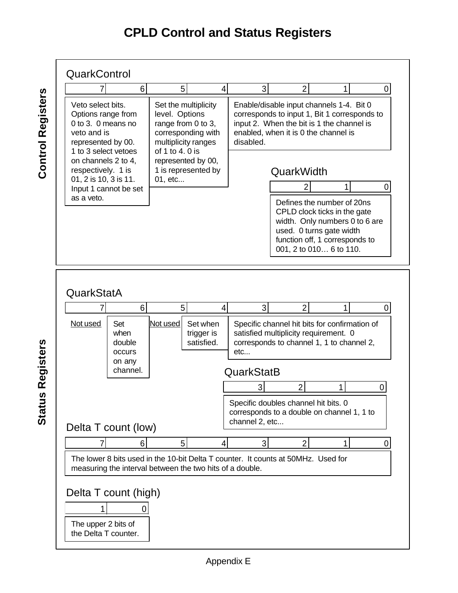# **CPLD Control and Status Registers**



**Status Registers Status Registers**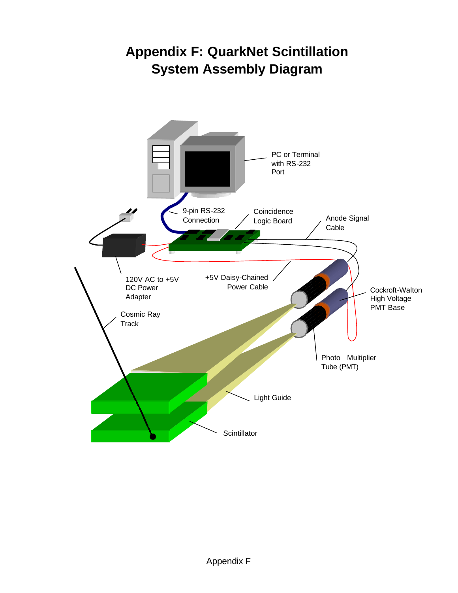# **Appendix F: QuarkNet Scintillation System Assembly Diagram**

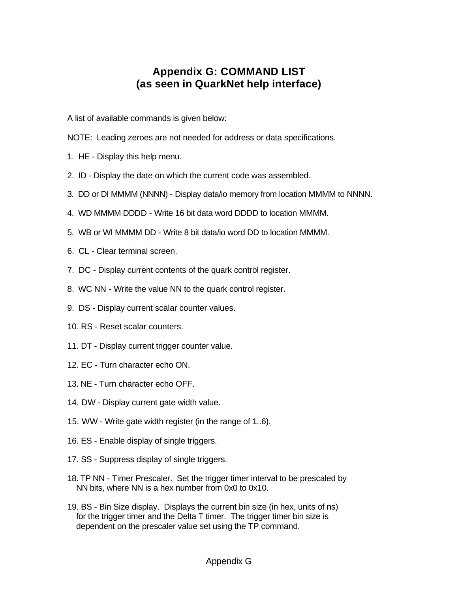# **Appendix G: COMMAND LIST (as seen in QuarkNet help interface)**

A list of available commands is given below:

- NOTE: Leading zeroes are not needed for address or data specifications.
- 1. HE Display this help menu.
- 2. ID Display the date on which the current code was assembled.
- 3. DD or DI MMMM (NNNN) Display data/io memory from location MMMM to NNNN.
- 4. WD MMMM DDDD Write 16 bit data word DDDD to location MMMM.
- 5. WB or WI MMMM DD Write 8 bit data/io word DD to location MMMM.
- 6. CL Clear terminal screen.
- 7. DC Display current contents of the quark control register.
- 8. WC NN Write the value NN to the quark control register.
- 9. DS Display current scalar counter values.
- 10. RS Reset scalar counters.
- 11. DT Display current trigger counter value.
- 12. EC Turn character echo ON.
- 13. NE Turn character echo OFF.
- 14. DW Display current gate width value.
- 15. WW Write gate width register (in the range of 1..6).
- 16. ES Enable display of single triggers.
- 17. SS Suppress display of single triggers.
- 18. TP NN Timer Prescaler. Set the trigger timer interval to be prescaled by NN bits, where NN is a hex number from 0x0 to 0x10.
- 19. BS Bin Size display. Displays the current bin size (in hex, units of ns) for the trigger timer and the Delta T timer. The trigger timer bin size is dependent on the prescaler value set using the TP command.

#### Appendix G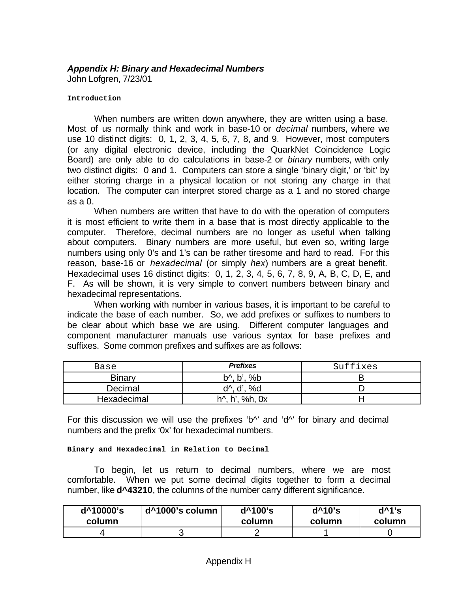# *Appendix H: Binary and Hexadecimal Numbers*

John Lofgren, 7/23/01

#### **Introduction**

When numbers are written down anywhere, they are written using a base. Most of us normally think and work in base-10 or *decimal* numbers, where we use 10 distinct digits: 0, 1, 2, 3, 4, 5, 6, 7, 8, and 9. However, most computers (or any digital electronic device, including the QuarkNet Coincidence Logic Board) are only able to do calculations in base-2 or *binary* numbers, with only two distinct digits: 0 and 1. Computers can store a single 'binary digit,' or 'bit' by either storing charge in a physical location or not storing any charge in that location. The computer can interpret stored charge as a 1 and no stored charge as a 0.

When numbers are written that have to do with the operation of computers it is most efficient to write them in a base that is most directly applicable to the computer. Therefore, decimal numbers are no longer as useful when talking about computers. Binary numbers are more useful, but even so, writing large numbers using only 0's and 1's can be rather tiresome and hard to read. For this reason, base-16 or *hexadecimal* (or simply *hex*) numbers are a great benefit. Hexadecimal uses 16 distinct digits: 0, 1, 2, 3, 4, 5, 6, 7, 8, 9, A, B, C, D, E, and F. As will be shown, it is very simple to convert numbers between binary and hexadecimal representations.

When working with number in various bases, it is important to be careful to indicate the base of each number. So, we add prefixes or suffixes to numbers to be clear about which base we are using. Different computer languages and component manufacturer manuals use various syntax for base prefixes and suffixes. Some common prefixes and suffixes are as follows:

| Base        | <b>Prefixes</b>                     | Suffixes |
|-------------|-------------------------------------|----------|
| Binary      | $b^{\wedge}$ , $b^{\prime}$ , % $b$ |          |
| Decimal     | d <sup>1</sup> , d', %d             |          |
| Hexadecimal | h <sup>1</sup> , h', %h, 0x         |          |

For this discussion we will use the prefixes 'b<sup> $\wedge$ </sup>' and 'd $\wedge$ ' for binary and decimal numbers and the prefix '0x' for hexadecimal numbers.

#### **Binary and Hexadecimal in Relation to Decimal**

To begin, let us return to decimal numbers, where we are most comfortable. When we put some decimal digits together to form a decimal number, like **d^43210**, the columns of the number carry different significance.

| d^10000's | d^1000's column | $d^{\wedge}100$ 's | $d^{\wedge}10$ 's | $d^{\wedge}1's$ |
|-----------|-----------------|--------------------|-------------------|-----------------|
| column    |                 | column             | column            | column          |
|           |                 |                    |                   |                 |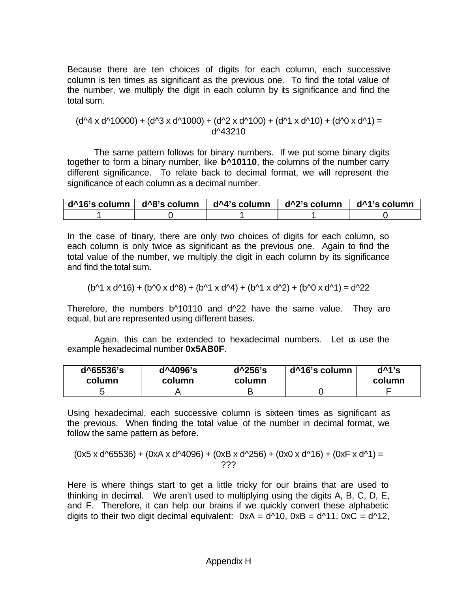Because there are ten choices of digits for each column, each successive column is ten times as significant as the previous one. To find the total value of the number, we multiply the digit in each column by its significance and find the total sum.

(d^4 x d^10000) + (d^3 x d^1000) + (d^2 x d^100) + (d^1 x d^10) + (d^0 x d^1) = d^43210

The same pattern follows for binary numbers. If we put some binary digits together to form a binary number, like **b^10110**, the columns of the number carry different significance. To relate back to decimal format, we will represent the significance of each column as a decimal number.

|  | │ d^16's column │ d^8's column │ d^4's column │ d^2's column │ d^1's column |  |
|--|-----------------------------------------------------------------------------|--|
|  |                                                                             |  |

In the case of binary, there are only two choices of digits for each column, so each column is only twice as significant as the previous one. Again to find the total value of the number, we multiply the digit in each column by its significance and find the total sum.

$$
(b^{4} \times d^{4} 16) + (b^{4} \times d^{4} 8) + (b^{4} \times d^{4} 1) + (b^{4} \times d^{4} 2) + (b^{4} \times d^{4} 1) = d^{4} 22
$$

Therefore, the numbers b^10110 and d^22 have the same value. They are equal, but are represented using different bases.

Again, this can be extended to hexadecimal numbers. Let us use the example hexadecimal number **0x5AB0F**.

| d^65536's | d^4096's | d <sup>^256</sup> 's | d^16's column | $d^{\wedge}1's$ |
|-----------|----------|----------------------|---------------|-----------------|
| column    | column   | column               |               | column          |
|           |          |                      |               |                 |

Using hexadecimal, each successive column is sixteen times as significant as the previous. When finding the total value of the number in decimal format, we follow the same pattern as before.

$$
(0x5 \times d^{65536}) + (0xA \times d^{64096}) + (0xB \times d^{6256}) + (0x0 \times d^{616}) + (0xF \times d^{61}) =
$$
  
??

Here is where things start to get a little tricky for our brains that are used to thinking in decimal. We aren't used to multiplying using the digits A, B, C, D, E, and F. Therefore, it can help our brains if we quickly convert these alphabetic digits to their two digit decimal equivalent:  $0xA = d^{4}10$ ,  $0xB = d^{4}11$ ,  $0xC = d^{4}12$ ,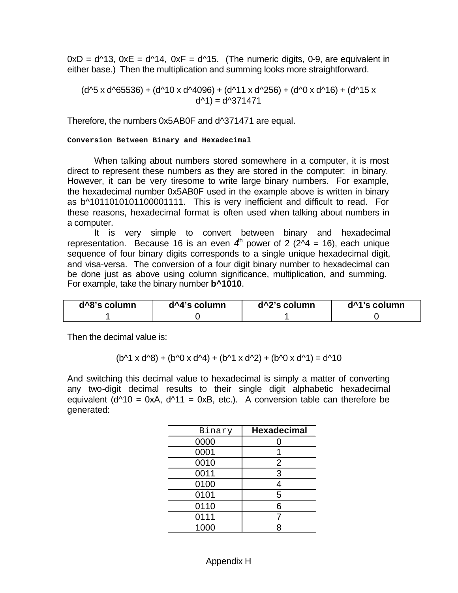$0xD = d^{3}3$ ,  $0xE = d^{4}4$ ,  $0xF = d^{4}5$ . (The numeric digits, 0-9, are equivalent in either base.) Then the multiplication and summing looks more straightforward.

 $(d^{6}5 x d^{6}65536) + (d^{6}10 x d^{6}4096) + (d^{6}11 x d^{6}256) + (d^{6}0 x d^{6}16) + (d^{6}15 x d^{6}16)$  $d^{4}$ ) =  $d^{4}$ 371471

Therefore, the numbers 0x5AB0F and d^371471 are equal.

**Conversion Between Binary and Hexadecimal**

When talking about numbers stored somewhere in a computer, it is most direct to represent these numbers as they are stored in the computer: in binary. However, it can be very tiresome to write large binary numbers. For example, the hexadecimal number 0x5AB0F used in the example above is written in binary as b^1011010101100001111. This is very inefficient and difficult to read. For these reasons, hexadecimal format is often used when talking about numbers in a computer.

It is very simple to convert between binary and hexadecimal representation. Because 16 is an even  $4<sup>th</sup>$  power of 2 ( $2<sup>4</sup> = 16$ ), each unique sequence of four binary digits corresponds to a single unique hexadecimal digit, and visa-versa. The conversion of a four digit binary number to hexadecimal can be done just as above using column significance, multiplication, and summing. For example, take the binary number **b^1010**.

| d^8's column | d^4's column | d <sup>^2'</sup> s column | d <sup>^1</sup> 's column |
|--------------|--------------|---------------------------|---------------------------|
|              |              |                           |                           |

Then the decimal value is:

 $(b^{A1} \times d^{A8}) + (b^{A0} \times d^{A4}) + (b^{A1} \times d^{A2}) + (b^{A0} \times d^{A1}) = d^{A10}$ 

And switching this decimal value to hexadecimal is simply a matter of converting any two-digit decimal results to their single digit alphabetic hexadecimal equivalent ( $d^{A}10 = 0xA$ ,  $d^{A}11 = 0xB$ , etc.). A conversion table can therefore be generated:

| Binary | <b>Hexadecimal</b> |
|--------|--------------------|
| 0000   | 0                  |
| 0001   |                    |
| 0010   | 2                  |
| 0011   | 3                  |
| 0100   | 4                  |
| 0101   | 5                  |
| 0110   | 6                  |
| 0111   |                    |
| 1000   | 8                  |